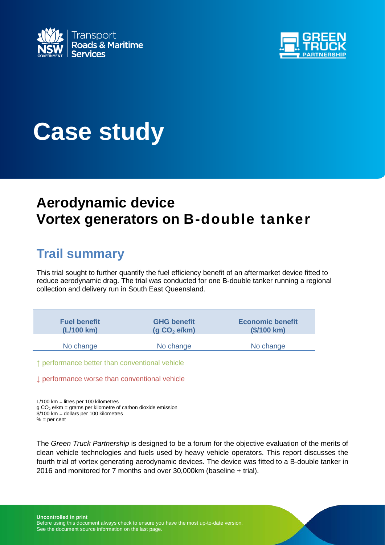



# **Case study**

# **Aerodynamic device Vortex generators on B-double tanker**

# **Trail summary**

This trial sought to further quantify the fuel efficiency benefit of an aftermarket device fitted to reduce aerodynamic drag. The trial was conducted for one B-double tanker running a regional collection and delivery run in South East Queensland.

| <b>Fuel benefit</b> | <b>GHG benefit</b>       | <b>Economic benefit</b> |
|---------------------|--------------------------|-------------------------|
| (L/100 km)          | (g CO <sub>2</sub> e/km) | (\$/100 km)             |
| No change           | No change                | No change               |

↑ performance better than conventional vehicle

↓ performance worse than conventional vehicle

L/100 km = litres per 100 kilometres  $g CO<sub>2</sub> e/km = grams$  per kilometre of carbon dioxide emission \$/100 km = dollars per 100 kilometres  $% = per cent$ 

The *Green Truck Partnership* is designed to be a forum for the objective evaluation of the merits of clean vehicle technologies and fuels used by heavy vehicle operators. This report discusses the fourth trial of vortex generating aerodynamic devices. The device was fitted to a B-double tanker in 2016 and monitored for 7 months and over 30,000km (baseline + trial).

**Uncontrolled in print** Before using this document always check to ensure you have the most up-to-date version. See the document source information on the last page.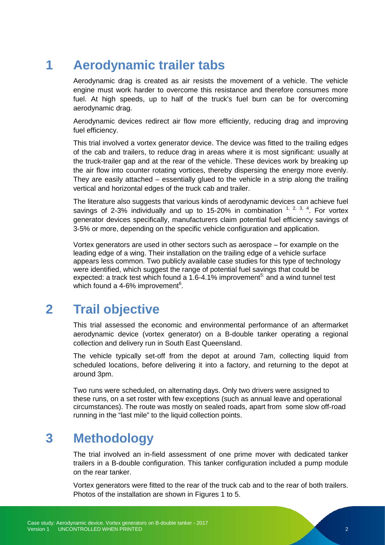# **1 Aerodynamic trailer tabs**

Aerodynamic drag is created as air resists the movement of a vehicle. The vehicle engine must work harder to overcome this resistance and therefore consumes more fuel. At high speeds, up to half of the truck's fuel burn can be for overcoming aerodynamic drag.

Aerodynamic devices redirect air flow more efficiently, reducing drag and improving fuel efficiency.

This trial involved a vortex generator device. The device was fitted to the trailing edges of the cab and trailers, to reduce drag in areas where it is most significant: usually at the truck-trailer gap and at the rear of the vehicle. These devices work by breaking up the air flow into counter rotating vortices, thereby dispersing the energy more evenly. They are easily attached – essentially glued to the vehicle in a strip along the trailing vertical and horizontal edges of the truck cab and trailer.

The literature also suggests that various kinds of aerodynamic devices can achieve fuel savings of 2-3% individually and up to 15-20% in combination  $1, 2, 3, 4$ . For vortex generator devices specifically, manufacturers claim potential fuel efficiency savings of 3-5% or more, depending on the specific vehicle configuration and application.

Vortex generators are used in other sectors such as aerospace – for example on the leading edge of a wing. Their installation on the trailing edge of a vehicle surface appears less common. Two publicly available case studies for this type of technology were identified, which suggest the range of potential fuel savings that could be expected: a track test which found a  $1.6-4.1\%$  improvement<sup>5;</sup> and a wind tunnel test which found a 4-6% improvement<sup>6</sup>.

# **2 Trail objective**

This trial assessed the economic and environmental performance of an aftermarket aerodynamic device (vortex generator) on a B-double tanker operating a regional collection and delivery run in South East Queensland.

The vehicle typically set-off from the depot at around 7am, collecting liquid from scheduled locations, before delivering it into a factory, and returning to the depot at around 3pm.

Two runs were scheduled, on alternating days. Only two drivers were assigned to these runs, on a set roster with few exceptions (such as annual leave and operational circumstances). The route was mostly on sealed roads, apart from some slow off-road running in the "last mile" to the liquid collection points.

# **3 Methodology**

The trial involved an in-field assessment of one prime mover with dedicated tanker trailers in a B-double configuration. This tanker configuration included a pump module on the rear tanker.

Vortex generators were fitted to the rear of the truck cab and to the rear of both trailers. Photos of the installation are shown in Figures 1 to 5.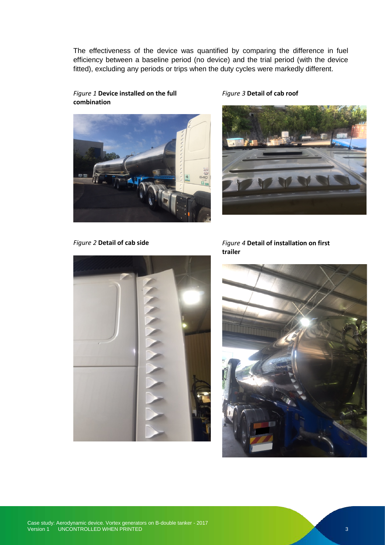The effectiveness of the device was quantified by comparing the difference in fuel efficiency between a baseline period (no device) and the trial period (with the device fitted), excluding any periods or trips when the duty cycles were markedly different.

#### *Figure 1* **Device installed on the full combination**



#### *Figure 3* **Detail of cab roof**



*Figure 2* **Detail of cab side**



*Figure 4* **Detail of installation on first trailer**

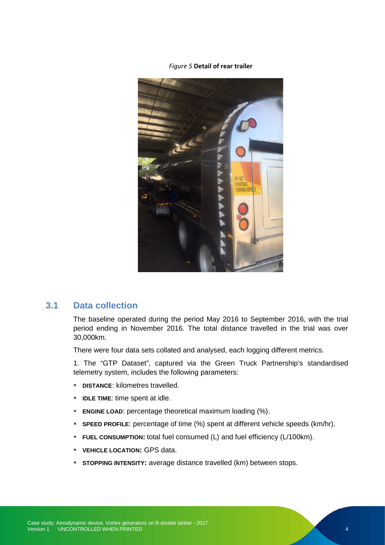*Figure 5* **Detail of rear trailer**



#### **3.1 Data collection**

The baseline operated during the period May 2016 to September 2016, with the trial period ending in November 2016. The total distance travelled in the trial was over 30,000km.

There were four data sets collated and analysed, each logging different metrics.

1. The "GTP Dataset", captured via the Green Truck Partnership's standardised telemetry system, includes the following parameters:

- **DISTANCE:** kilometres travelled.
- **IDLE TIME: time spent at idle.**
- **ENGINE LOAD:** percentage theoretical maximum loading (%).
- **SPEED PROFILE**: percentage of time (%) spent at different vehicle speeds (km/hr).
- **FUEL CONSUMPTION:** total fuel consumed (L) and fuel efficiency (L/100km).
- **VEHICLE LOCATION:** GPS data.
- **STOPPING INTENSITY:** average distance travelled (km) between stops.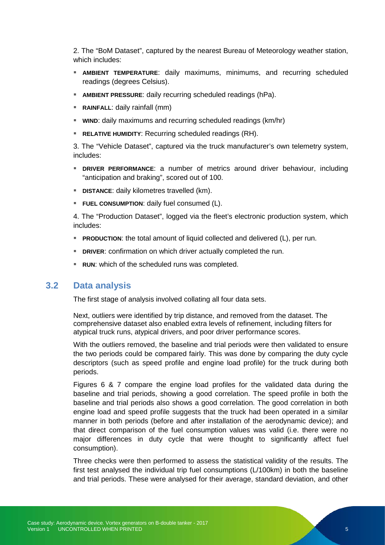2. The "BoM Dataset", captured by the nearest Bureau of Meteorology weather station, which includes:

- **AMBIENT TEMPERATURE**: daily maximums, minimums, and recurring scheduled readings (degrees Celsius).
- **AMBIENT PRESSURE**: daily recurring scheduled readings (hPa).
- **RAINFALL**: daily rainfall (mm)
- **WIND**: daily maximums and recurring scheduled readings (km/hr)
- **RELATIVE HUMIDITY**: Recurring scheduled readings (RH).

3. The "Vehicle Dataset", captured via the truck manufacturer's own telemetry system, includes:

- **DRIVER PERFORMANCE**: a number of metrics around driver behaviour, including "anticipation and braking", scored out of 100.
- **DISTANCE:** daily kilometres travelled (km).
- **FUEL CONSUMPTION**: daily fuel consumed (L).

4. The "Production Dataset", logged via the fleet's electronic production system, which includes:

- **PRODUCTION:** the total amount of liquid collected and delivered (L), per run.
- **DRIVER**: confirmation on which driver actually completed the run.
- **RUN:** which of the scheduled runs was completed.

#### **3.2 Data analysis**

The first stage of analysis involved collating all four data sets.

Next, outliers were identified by trip distance, and removed from the dataset. The comprehensive dataset also enabled extra levels of refinement, including filters for atypical truck runs, atypical drivers, and poor driver performance scores.

With the outliers removed, the baseline and trial periods were then validated to ensure the two periods could be compared fairly. This was done by comparing the duty cycle descriptors (such as speed profile and engine load profile) for the truck during both periods.

Figures 6 & 7 compare the engine load profiles for the validated data during the baseline and trial periods, showing a good correlation. The speed profile in both the baseline and trial periods also shows a good correlation. The good correlation in both engine load and speed profile suggests that the truck had been operated in a similar manner in both periods (before and after installation of the aerodynamic device); and that direct comparison of the fuel consumption values was valid (i.e. there were no major differences in duty cycle that were thought to significantly affect fuel consumption).

Three checks were then performed to assess the statistical validity of the results. The first test analysed the individual trip fuel consumptions (L/100km) in both the baseline and trial periods. These were analysed for their average, standard deviation, and other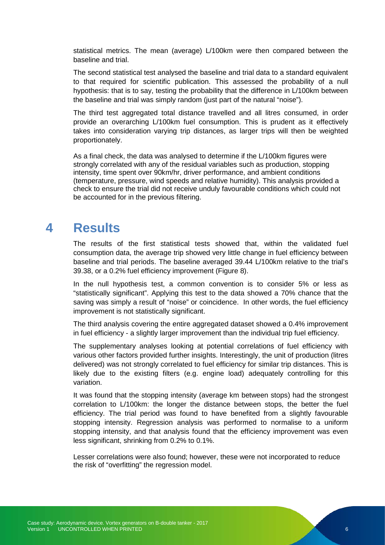statistical metrics. The mean (average) L/100km were then compared between the baseline and trial.

The second statistical test analysed the baseline and trial data to a standard equivalent to that required for scientific publication. This assessed the probability of a null hypothesis: that is to say, testing the probability that the difference in L/100km between the baseline and trial was simply random (just part of the natural "noise").

The third test aggregated total distance travelled and all litres consumed, in order provide an overarching L/100km fuel consumption. This is prudent as it effectively takes into consideration varying trip distances, as larger trips will then be weighted proportionately.

As a final check, the data was analysed to determine if the L/100km figures were strongly correlated with any of the residual variables such as production, stopping intensity, time spent over 90km/hr, driver performance, and ambient conditions (temperature, pressure, wind speeds and relative humidity). This analysis provided a check to ensure the trial did not receive unduly favourable conditions which could not be accounted for in the previous filtering.

### **4 Results**

The results of the first statistical tests showed that, within the validated fuel consumption data, the average trip showed very little change in fuel efficiency between baseline and trial periods. The baseline averaged 39.44 L/100km relative to the trial's 39.38, or a 0.2% fuel efficiency improvement (Figure 8).

In the null hypothesis test, a common convention is to consider 5% or less as "statistically significant". Applying this test to the data showed a 70% chance that the saving was simply a result of "noise" or coincidence. In other words, the fuel efficiency improvement is not statistically significant.

The third analysis covering the entire aggregated dataset showed a 0.4% improvement in fuel efficiency - a slightly larger improvement than the individual trip fuel efficiency.

The supplementary analyses looking at potential correlations of fuel efficiency with various other factors provided further insights. Interestingly, the unit of production (litres delivered) was not strongly correlated to fuel efficiency for similar trip distances. This is likely due to the existing filters (e.g. engine load) adequately controlling for this variation.

It was found that the stopping intensity (average km between stops) had the strongest correlation to L/100km: the longer the distance between stops, the better the fuel efficiency. The trial period was found to have benefited from a slightly favourable stopping intensity. Regression analysis was performed to normalise to a uniform stopping intensity, and that analysis found that the efficiency improvement was even less significant, shrinking from 0.2% to 0.1%.

Lesser correlations were also found; however, these were not incorporated to reduce the risk of "overfitting" the regression model.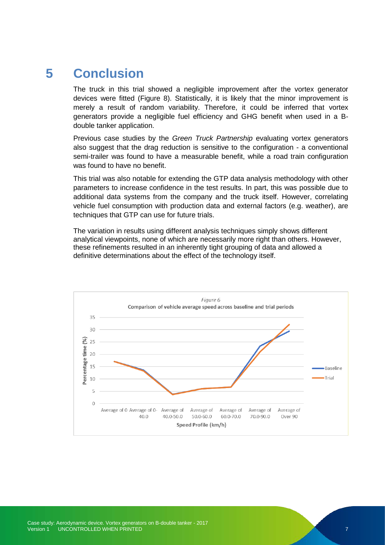## **5 Conclusion**

The truck in this trial showed a negligible improvement after the vortex generator devices were fitted (Figure 8). Statistically, it is likely that the minor improvement is merely a result of random variability. Therefore, it could be inferred that vortex generators provide a negligible fuel efficiency and GHG benefit when used in a Bdouble tanker application.

Previous case studies by the *Green Truck Partnership* evaluating vortex generators also suggest that the drag reduction is sensitive to the configuration - a conventional semi-trailer was found to have a measurable benefit, while a road train configuration was found to have no benefit.

This trial was also notable for extending the GTP data analysis methodology with other parameters to increase confidence in the test results. In part, this was possible due to additional data systems from the company and the truck itself. However, correlating vehicle fuel consumption with production data and external factors (e.g. weather), are techniques that GTP can use for future trials.

The variation in results using different analysis techniques simply shows different analytical viewpoints, none of which are necessarily more right than others. However, these refinements resulted in an inherently tight grouping of data and allowed a definitive determinations about the effect of the technology itself.

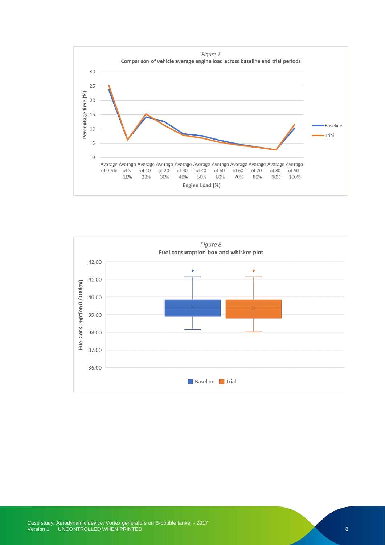